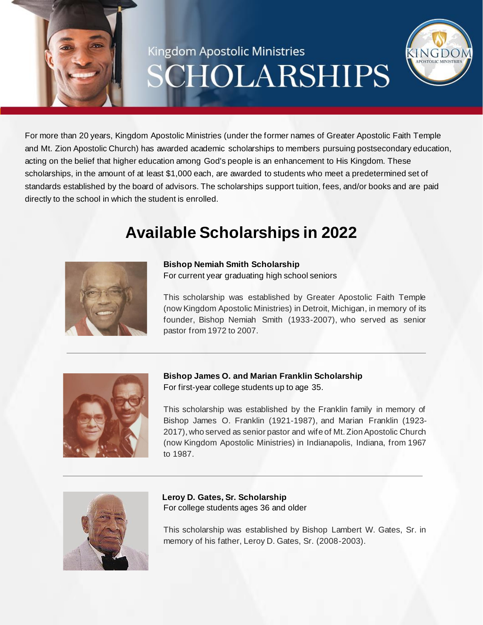# Kingdom Apostolic Ministries CHOLARSHIPS



# **Available Scholarships in 2022**



**Bishop Nemiah Smith Scholarship** For current year graduating high school seniors

This scholarship was established by Greater Apostolic Faith Temple (now Kingdom Apostolic Ministries) in Detroit, Michigan, in memory of its founder, Bishop Nemiah Smith (1933-2007), who served as senior pastor from 1972 to 2007.



**Bishop James O. and Marian Franklin Scholarship** For first-year college students up to age 35.

This scholarship was established by the Franklin family in memory of Bishop James O. Franklin (1921-1987), and Marian Franklin (1923- 2017), who served as senior pastor and wife of Mt. Zion Apostolic Church (now Kingdom Apostolic Ministries) in Indianapolis, Indiana, from 1967 to 1987.



**Leroy D. Gates, Sr. Scholarship** For college students ages 36 and older

This scholarship was established by Bishop Lambert W. Gates, Sr. in memory of his father, Leroy D. Gates, Sr. (2008-2003).